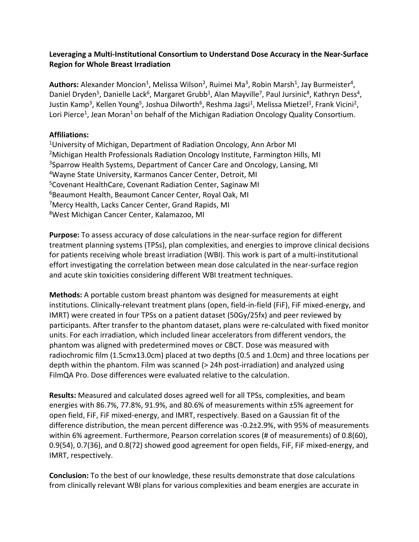## **Leveraging a Multi-Institutional Consortium to Understand Dose Accuracy in the Near-Surface Region for Whole Breast Irradiation**

Authors: Alexander Moncion<sup>1</sup>, Melissa Wilson<sup>2</sup>, Ruimei Ma<sup>3</sup>, Robin Marsh<sup>1</sup>, Jay Burmeister<sup>4</sup>, Daniel Dryden<sup>5</sup>, Danielle Lack<sup>6</sup>, Margaret Grubb<sup>1</sup>, Alan Mayville<sup>7</sup>, Paul Jursinic<sup>8</sup>, Kathryn Dess<sup>4</sup>, Justin Kamp<sup>3</sup>, Kellen Young<sup>5</sup>, Joshua Dilworth<sup>6</sup>, Reshma Jagsi<sup>1</sup>, Melissa Mietzel<sup>1</sup>, Frank Vicini<sup>2</sup>, Lori Pierce<sup>1</sup>, Jean Moran<sup>1</sup> on behalf of the Michigan Radiation Oncology Quality Consortium.

## **Affiliations:**

1University of Michigan, Department of Radiation Oncology, Ann Arbor MI 2Michigan Health Professionals Radiation Oncology Institute, Farmington Hills, MI 3Sparrow Health Systems, Department of Cancer Care and Oncology, Lansing, MI 4Wayne State University, Karmanos Cancer Center, Detroit, MI 5Covenant HealthCare, Covenant Radiation Center, Saginaw MI 6Beaumont Health, Beaumont Cancer Center, Royal Oak, MI 7Mercy Health, Lacks Cancer Center, Grand Rapids, MI 8West Michigan Cancer Center, Kalamazoo, MI

**Purpose:** To assess accuracy of dose calculations in the near-surface region for different treatment planning systems (TPSs), plan complexities, and energies to improve clinical decisions for patients receiving whole breast irradiation (WBI). This work is part of a multi-institutional effort investigating the correlation between mean dose calculated in the near-surface region and acute skin toxicities considering different WBI treatment techniques.

**Methods:** A portable custom breast phantom was designed for measurements at eight institutions. Clinically-relevant treatment plans (open, field-in-field (FiF), FiF mixed-energy, and IMRT) were created in four TPSs on a patient dataset (50Gy/25fx) and peer reviewed by participants. After transfer to the phantom dataset, plans were re-calculated with fixed monitor units. For each irradiation, which included linear accelerators from different vendors, the phantom was aligned with predetermined moves or CBCT. Dose was measured with radiochromic film (1.5cmx13.0cm) placed at two depths (0.5 and 1.0cm) and three locations per depth within the phantom. Film was scanned (> 24h post-irradiation) and analyzed using FilmQA Pro. Dose differences were evaluated relative to the calculation.

**Results:** Measured and calculated doses agreed well for all TPSs, complexities, and beam energies with 86.7%, 77.8%, 91.9%, and 80.6% of measurements within ±5% agreement for open field, FiF, FiF mixed-energy, and IMRT, respectively. Based on a Gaussian fit of the difference distribution, the mean percent difference was -0.2±2.9%, with 95% of measurements within 6% agreement. Furthermore, Pearson correlation scores (# of measurements) of 0.8(60), 0.9(54), 0.7(36), and 0.8(72) showed good agreement for open fields, FiF, FiF mixed-energy, and IMRT, respectively.

**Conclusion:** To the best of our knowledge, these results demonstrate that dose calculations from clinically relevant WBI plans for various complexities and beam energies are accurate in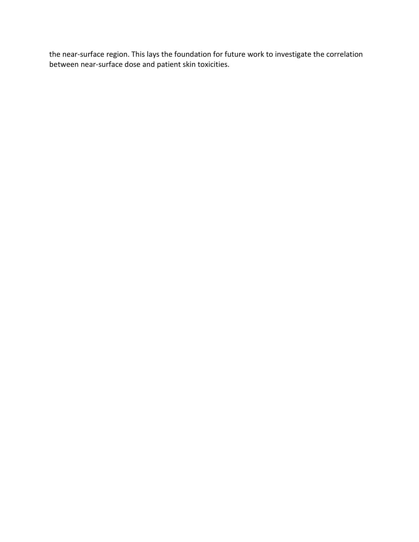the near-surface region. This lays the foundation for future work to investigate the correlation between near-surface dose and patient skin toxicities.